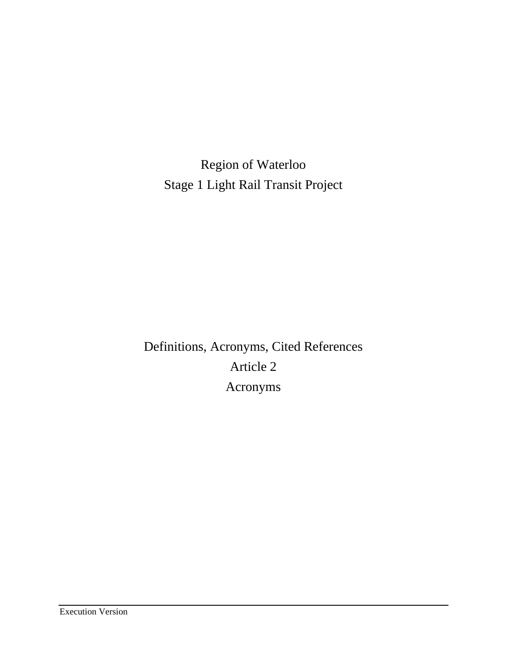Region of Waterloo Stage 1 Light Rail Transit Project

Definitions, Acronyms, Cited References Article 2 Acronyms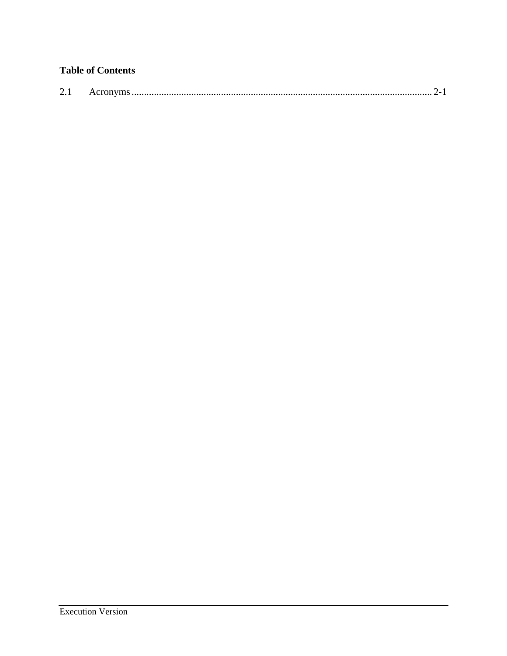# **Table of Contents**

| $\bigcap$ 1<br>$\sim$ . | $\text{ACT}$ of $\mu$ is $\ldots$ $\ldots$ $\ldots$ $\ldots$ $\ldots$ $\ldots$ $\ldots$ $\ldots$ $\ldots$ $\ldots$ $\ldots$ $\ldots$ $\ldots$ $\ldots$ $\ldots$ $\ldots$ $\ldots$ $\ldots$ $\ldots$ $\ldots$ $\ldots$ $\ldots$ $\ldots$ |  |  |
|-------------------------|-----------------------------------------------------------------------------------------------------------------------------------------------------------------------------------------------------------------------------------------|--|--|
|-------------------------|-----------------------------------------------------------------------------------------------------------------------------------------------------------------------------------------------------------------------------------------|--|--|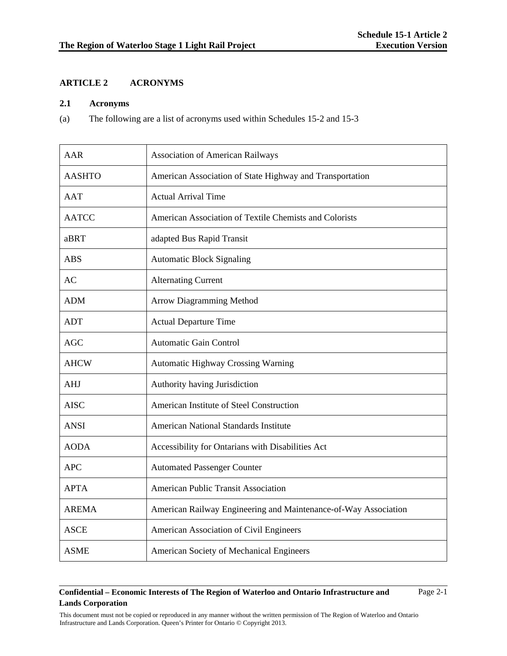## **ARTICLE 2 ACRONYMS**

#### **2.1 Acronyms**

(a) The following are a list of acronyms used within Schedules 15-2 and 15-3

| <b>AAR</b>    | <b>Association of American Railways</b>                         |
|---------------|-----------------------------------------------------------------|
| <b>AASHTO</b> | American Association of State Highway and Transportation        |
| <b>AAT</b>    | <b>Actual Arrival Time</b>                                      |
| <b>AATCC</b>  | American Association of Textile Chemists and Colorists          |
| aBRT          | adapted Bus Rapid Transit                                       |
| <b>ABS</b>    | <b>Automatic Block Signaling</b>                                |
| AC            | <b>Alternating Current</b>                                      |
| <b>ADM</b>    | Arrow Diagramming Method                                        |
| <b>ADT</b>    | <b>Actual Departure Time</b>                                    |
| <b>AGC</b>    | <b>Automatic Gain Control</b>                                   |
| <b>AHCW</b>   | <b>Automatic Highway Crossing Warning</b>                       |
| AHJ           | Authority having Jurisdiction                                   |
| <b>AISC</b>   | American Institute of Steel Construction                        |
| <b>ANSI</b>   | <b>American National Standards Institute</b>                    |
| <b>AODA</b>   | Accessibility for Ontarians with Disabilities Act               |
| <b>APC</b>    | <b>Automated Passenger Counter</b>                              |
| <b>APTA</b>   | American Public Transit Association                             |
| <b>AREMA</b>  | American Railway Engineering and Maintenance-of-Way Association |
| <b>ASCE</b>   | American Association of Civil Engineers                         |
| <b>ASME</b>   | American Society of Mechanical Engineers                        |

### **Confidential – Economic Interests of The Region of Waterloo and Ontario Infrastructure and Lands Corporation**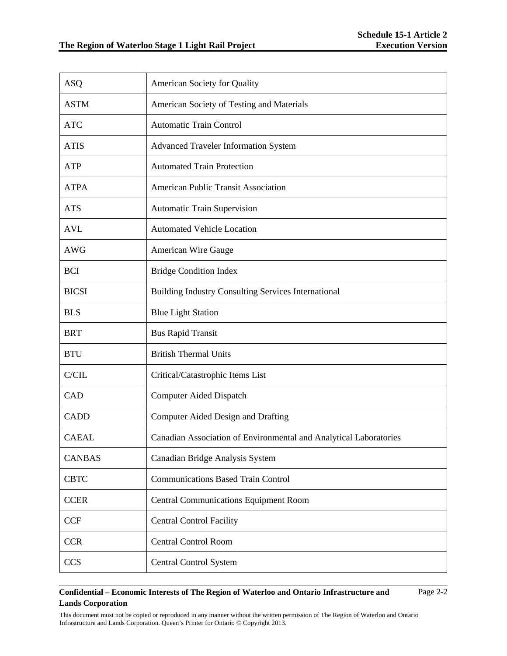| <b>ASO</b>    | American Society for Quality                                      |
|---------------|-------------------------------------------------------------------|
| <b>ASTM</b>   | American Society of Testing and Materials                         |
| <b>ATC</b>    | <b>Automatic Train Control</b>                                    |
| <b>ATIS</b>   | <b>Advanced Traveler Information System</b>                       |
| <b>ATP</b>    | <b>Automated Train Protection</b>                                 |
| <b>ATPA</b>   | <b>American Public Transit Association</b>                        |
| <b>ATS</b>    | <b>Automatic Train Supervision</b>                                |
| <b>AVL</b>    | <b>Automated Vehicle Location</b>                                 |
| <b>AWG</b>    | American Wire Gauge                                               |
| <b>BCI</b>    | <b>Bridge Condition Index</b>                                     |
| <b>BICSI</b>  | <b>Building Industry Consulting Services International</b>        |
| <b>BLS</b>    | <b>Blue Light Station</b>                                         |
| <b>BRT</b>    | <b>Bus Rapid Transit</b>                                          |
| <b>BTU</b>    | <b>British Thermal Units</b>                                      |
| C/CIL         | Critical/Catastrophic Items List                                  |
| CAD           | <b>Computer Aided Dispatch</b>                                    |
| <b>CADD</b>   | <b>Computer Aided Design and Drafting</b>                         |
| <b>CAEAL</b>  | Canadian Association of Environmental and Analytical Laboratories |
| <b>CANBAS</b> | Canadian Bridge Analysis System                                   |
| <b>CBTC</b>   | <b>Communications Based Train Control</b>                         |
| <b>CCER</b>   | <b>Central Communications Equipment Room</b>                      |
| <b>CCF</b>    | <b>Central Control Facility</b>                                   |
| <b>CCR</b>    | <b>Central Control Room</b>                                       |
| <b>CCS</b>    | <b>Central Control System</b>                                     |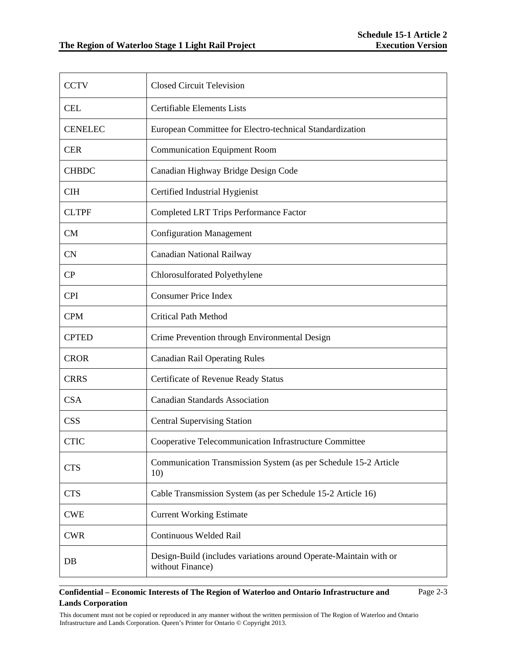| <b>CCTV</b>    | <b>Closed Circuit Television</b>                                                      |
|----------------|---------------------------------------------------------------------------------------|
| <b>CEL</b>     | <b>Certifiable Elements Lists</b>                                                     |
| <b>CENELEC</b> | European Committee for Electro-technical Standardization                              |
| <b>CER</b>     | <b>Communication Equipment Room</b>                                                   |
| <b>CHBDC</b>   | Canadian Highway Bridge Design Code                                                   |
| <b>CIH</b>     | Certified Industrial Hygienist                                                        |
| <b>CLTPF</b>   | <b>Completed LRT Trips Performance Factor</b>                                         |
| <b>CM</b>      | <b>Configuration Management</b>                                                       |
| <b>CN</b>      | Canadian National Railway                                                             |
| CP             | Chlorosulforated Polyethylene                                                         |
| <b>CPI</b>     | <b>Consumer Price Index</b>                                                           |
| <b>CPM</b>     | <b>Critical Path Method</b>                                                           |
| <b>CPTED</b>   | Crime Prevention through Environmental Design                                         |
| <b>CROR</b>    | <b>Canadian Rail Operating Rules</b>                                                  |
| <b>CRRS</b>    | Certificate of Revenue Ready Status                                                   |
| <b>CSA</b>     | <b>Canadian Standards Association</b>                                                 |
| <b>CSS</b>     | <b>Central Supervising Station</b>                                                    |
| <b>CTIC</b>    | Cooperative Telecommunication Infrastructure Committee                                |
| <b>CTS</b>     | Communication Transmission System (as per Schedule 15-2 Article<br>10)                |
| <b>CTS</b>     | Cable Transmission System (as per Schedule 15-2 Article 16)                           |
| <b>CWE</b>     | <b>Current Working Estimate</b>                                                       |
| <b>CWR</b>     | Continuous Welded Rail                                                                |
| DB             | Design-Build (includes variations around Operate-Maintain with or<br>without Finance) |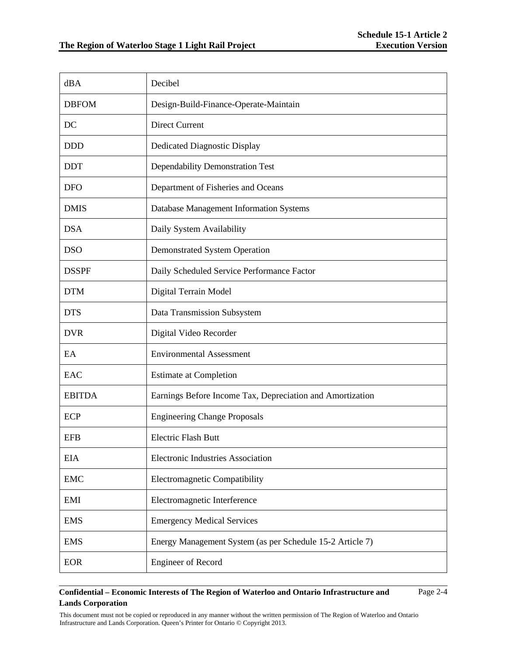Page 2-4

| dBA           | Decibel                                                   |
|---------------|-----------------------------------------------------------|
| <b>DBFOM</b>  | Design-Build-Finance-Operate-Maintain                     |
| DC            | <b>Direct Current</b>                                     |
| <b>DDD</b>    | <b>Dedicated Diagnostic Display</b>                       |
| <b>DDT</b>    | Dependability Demonstration Test                          |
| <b>DFO</b>    | Department of Fisheries and Oceans                        |
| <b>DMIS</b>   | Database Management Information Systems                   |
| <b>DSA</b>    | Daily System Availability                                 |
| <b>DSO</b>    | <b>Demonstrated System Operation</b>                      |
| <b>DSSPF</b>  | Daily Scheduled Service Performance Factor                |
| <b>DTM</b>    | Digital Terrain Model                                     |
| <b>DTS</b>    | Data Transmission Subsystem                               |
| <b>DVR</b>    | Digital Video Recorder                                    |
| EA            | <b>Environmental Assessment</b>                           |
| EAC           | <b>Estimate at Completion</b>                             |
| <b>EBITDA</b> | Earnings Before Income Tax, Depreciation and Amortization |
| <b>ECP</b>    | <b>Engineering Change Proposals</b>                       |
| <b>EFB</b>    | <b>Electric Flash Butt</b>                                |
| <b>EIA</b>    | <b>Electronic Industries Association</b>                  |
| <b>EMC</b>    | Electromagnetic Compatibility                             |
| EMI           | Electromagnetic Interference                              |
| <b>EMS</b>    | <b>Emergency Medical Services</b>                         |
| <b>EMS</b>    | Energy Management System (as per Schedule 15-2 Article 7) |
| <b>EOR</b>    | <b>Engineer of Record</b>                                 |

### **Confidential – Economic Interests of The Region of Waterloo and Ontario Infrastructure and Lands Corporation**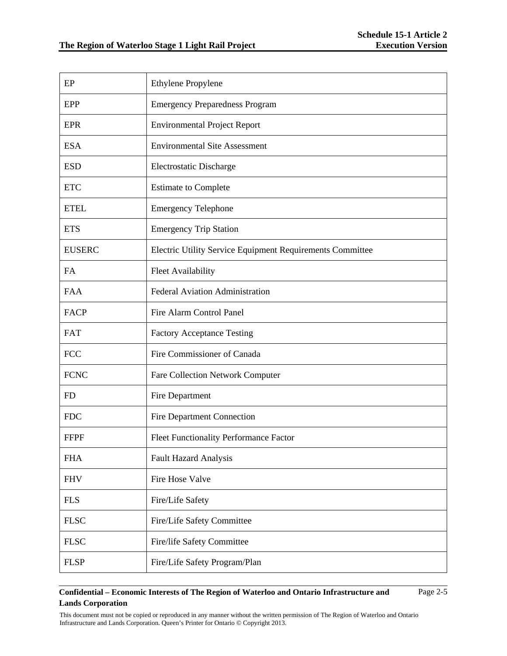| EP            | <b>Ethylene Propylene</b>                                 |
|---------------|-----------------------------------------------------------|
| <b>EPP</b>    | <b>Emergency Preparedness Program</b>                     |
| <b>EPR</b>    | <b>Environmental Project Report</b>                       |
| <b>ESA</b>    | <b>Environmental Site Assessment</b>                      |
| <b>ESD</b>    | <b>Electrostatic Discharge</b>                            |
| <b>ETC</b>    | <b>Estimate to Complete</b>                               |
| <b>ETEL</b>   | <b>Emergency Telephone</b>                                |
| <b>ETS</b>    | <b>Emergency Trip Station</b>                             |
| <b>EUSERC</b> | Electric Utility Service Equipment Requirements Committee |
| FA            | <b>Fleet Availability</b>                                 |
| <b>FAA</b>    | Federal Aviation Administration                           |
| <b>FACP</b>   | Fire Alarm Control Panel                                  |
| <b>FAT</b>    | <b>Factory Acceptance Testing</b>                         |
| <b>FCC</b>    | Fire Commissioner of Canada                               |
| <b>FCNC</b>   | Fare Collection Network Computer                          |
| <b>FD</b>     | Fire Department                                           |
| <b>FDC</b>    | <b>Fire Department Connection</b>                         |
| <b>FFPF</b>   | Fleet Functionality Performance Factor                    |
| <b>FHA</b>    | <b>Fault Hazard Analysis</b>                              |
| <b>FHV</b>    | Fire Hose Valve                                           |
| <b>FLS</b>    | Fire/Life Safety                                          |
| <b>FLSC</b>   | Fire/Life Safety Committee                                |
| <b>FLSC</b>   | Fire/life Safety Committee                                |
| <b>FLSP</b>   | Fire/Life Safety Program/Plan                             |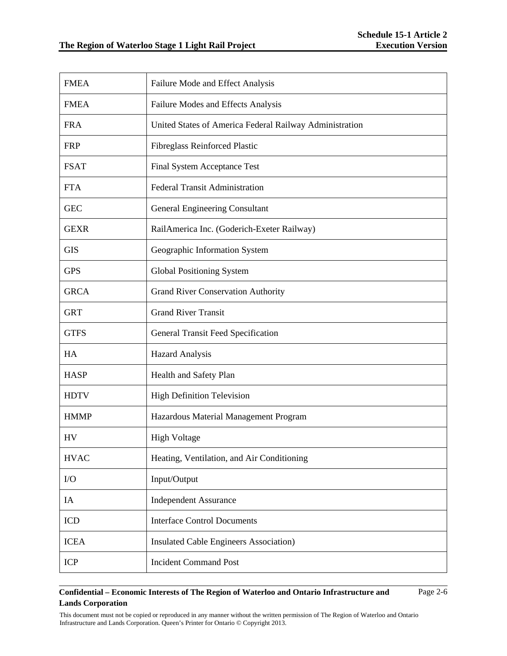| <b>FMEA</b> | Failure Mode and Effect Analysis                        |
|-------------|---------------------------------------------------------|
| <b>FMEA</b> | Failure Modes and Effects Analysis                      |
| <b>FRA</b>  | United States of America Federal Railway Administration |
| <b>FRP</b>  | Fibreglass Reinforced Plastic                           |
| <b>FSAT</b> | Final System Acceptance Test                            |
| <b>FTA</b>  | <b>Federal Transit Administration</b>                   |
| <b>GEC</b>  | <b>General Engineering Consultant</b>                   |
| <b>GEXR</b> | RailAmerica Inc. (Goderich-Exeter Railway)              |
| <b>GIS</b>  | Geographic Information System                           |
| <b>GPS</b>  | <b>Global Positioning System</b>                        |
| <b>GRCA</b> | <b>Grand River Conservation Authority</b>               |
| <b>GRT</b>  | <b>Grand River Transit</b>                              |
| <b>GTFS</b> | <b>General Transit Feed Specification</b>               |
| HA          | <b>Hazard Analysis</b>                                  |
| <b>HASP</b> | Health and Safety Plan                                  |
| <b>HDTV</b> | <b>High Definition Television</b>                       |
| <b>HMMP</b> | Hazardous Material Management Program                   |
| HV          | <b>High Voltage</b>                                     |
| <b>HVAC</b> | Heating, Ventilation, and Air Conditioning              |
| I/O         | Input/Output                                            |
| IA          | <b>Independent Assurance</b>                            |
| <b>ICD</b>  | <b>Interface Control Documents</b>                      |
| <b>ICEA</b> | <b>Insulated Cable Engineers Association</b> )          |
| <b>ICP</b>  | <b>Incident Command Post</b>                            |

Page 2-6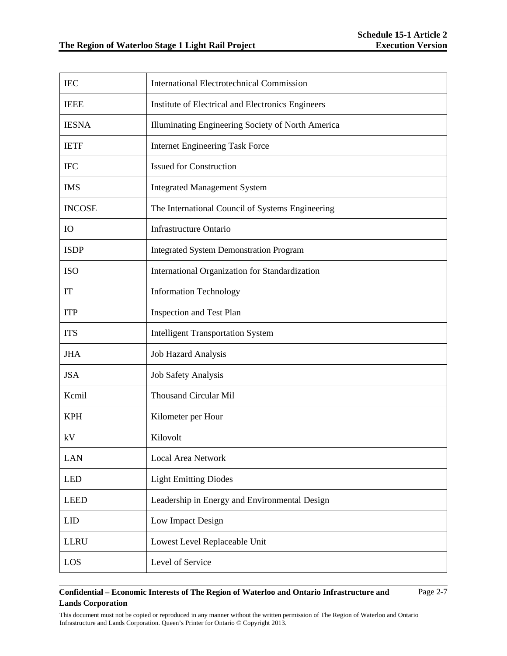| <b>IEC</b>    | <b>International Electrotechnical Commission</b>  |
|---------------|---------------------------------------------------|
| <b>IEEE</b>   | Institute of Electrical and Electronics Engineers |
| <b>IESNA</b>  | Illuminating Engineering Society of North America |
| <b>IETF</b>   | <b>Internet Engineering Task Force</b>            |
| <b>IFC</b>    | <b>Issued for Construction</b>                    |
| <b>IMS</b>    | <b>Integrated Management System</b>               |
| <b>INCOSE</b> | The International Council of Systems Engineering  |
| IO            | <b>Infrastructure Ontario</b>                     |
| <b>ISDP</b>   | <b>Integrated System Demonstration Program</b>    |
| <b>ISO</b>    | International Organization for Standardization    |
| IT            | <b>Information Technology</b>                     |
| <b>ITP</b>    | <b>Inspection and Test Plan</b>                   |
| <b>ITS</b>    | <b>Intelligent Transportation System</b>          |
| <b>JHA</b>    | <b>Job Hazard Analysis</b>                        |
| <b>JSA</b>    | Job Safety Analysis                               |
| Kcmil         | <b>Thousand Circular Mil</b>                      |
| <b>KPH</b>    | Kilometer per Hour                                |
| kV            | Kilovolt                                          |
| <b>LAN</b>    | <b>Local Area Network</b>                         |
| <b>LED</b>    | <b>Light Emitting Diodes</b>                      |
| <b>LEED</b>   | Leadership in Energy and Environmental Design     |
| <b>LID</b>    | Low Impact Design                                 |
| <b>LLRU</b>   | Lowest Level Replaceable Unit                     |
| LOS           | Level of Service                                  |

Page 2-7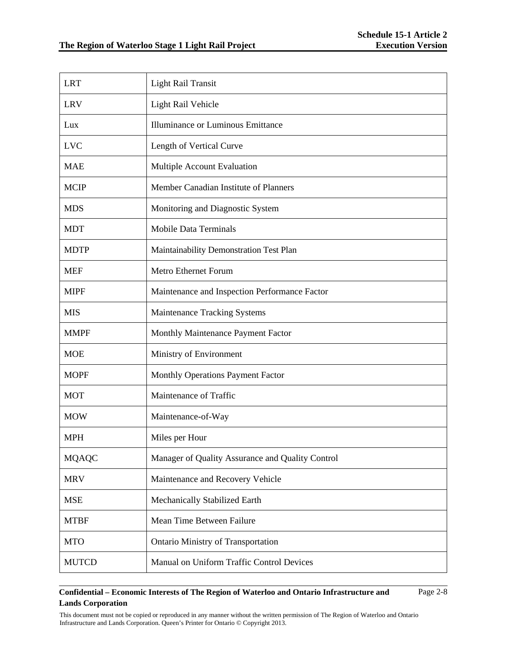| <b>LRT</b>   | <b>Light Rail Transit</b>                        |
|--------------|--------------------------------------------------|
| <b>LRV</b>   | Light Rail Vehicle                               |
| Lux          | Illuminance or Luminous Emittance                |
| <b>LVC</b>   | Length of Vertical Curve                         |
| <b>MAE</b>   | Multiple Account Evaluation                      |
| <b>MCIP</b>  | Member Canadian Institute of Planners            |
| <b>MDS</b>   | Monitoring and Diagnostic System                 |
| <b>MDT</b>   | <b>Mobile Data Terminals</b>                     |
| <b>MDTP</b>  | Maintainability Demonstration Test Plan          |
| <b>MEF</b>   | <b>Metro Ethernet Forum</b>                      |
| <b>MIPF</b>  | Maintenance and Inspection Performance Factor    |
| <b>MIS</b>   | <b>Maintenance Tracking Systems</b>              |
| <b>MMPF</b>  | Monthly Maintenance Payment Factor               |
| <b>MOE</b>   | Ministry of Environment                          |
| <b>MOPF</b>  | Monthly Operations Payment Factor                |
| <b>MOT</b>   | Maintenance of Traffic                           |
| <b>MOW</b>   | Maintenance-of-Way                               |
| <b>MPH</b>   | Miles per Hour                                   |
| <b>MQAQC</b> | Manager of Quality Assurance and Quality Control |
| <b>MRV</b>   | Maintenance and Recovery Vehicle                 |
| <b>MSE</b>   | Mechanically Stabilized Earth                    |
| <b>MTBF</b>  | Mean Time Between Failure                        |
| <b>MTO</b>   | <b>Ontario Ministry of Transportation</b>        |
| <b>MUTCD</b> | Manual on Uniform Traffic Control Devices        |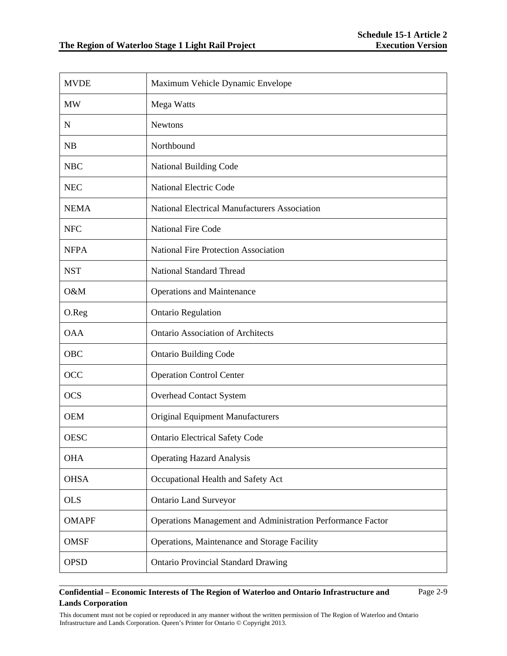| <b>MVDE</b>  | Maximum Vehicle Dynamic Envelope                            |
|--------------|-------------------------------------------------------------|
| <b>MW</b>    | Mega Watts                                                  |
| $\mathbf N$  | <b>Newtons</b>                                              |
| <b>NB</b>    | Northbound                                                  |
| <b>NBC</b>   | National Building Code                                      |
| <b>NEC</b>   | <b>National Electric Code</b>                               |
| <b>NEMA</b>  | <b>National Electrical Manufacturers Association</b>        |
| <b>NFC</b>   | <b>National Fire Code</b>                                   |
| <b>NFPA</b>  | <b>National Fire Protection Association</b>                 |
| <b>NST</b>   | <b>National Standard Thread</b>                             |
| O&M          | <b>Operations and Maintenance</b>                           |
| O.Reg        | <b>Ontario Regulation</b>                                   |
| <b>OAA</b>   | <b>Ontario Association of Architects</b>                    |
| <b>OBC</b>   | <b>Ontario Building Code</b>                                |
| OCC          | <b>Operation Control Center</b>                             |
| <b>OCS</b>   | <b>Overhead Contact System</b>                              |
| <b>OEM</b>   | <b>Original Equipment Manufacturers</b>                     |
| <b>OESC</b>  | <b>Ontario Electrical Safety Code</b>                       |
| <b>OHA</b>   | <b>Operating Hazard Analysis</b>                            |
| <b>OHSA</b>  | Occupational Health and Safety Act                          |
| <b>OLS</b>   | <b>Ontario Land Surveyor</b>                                |
| <b>OMAPF</b> | Operations Management and Administration Performance Factor |
| <b>OMSF</b>  | Operations, Maintenance and Storage Facility                |
| <b>OPSD</b>  | <b>Ontario Provincial Standard Drawing</b>                  |

Page 2-9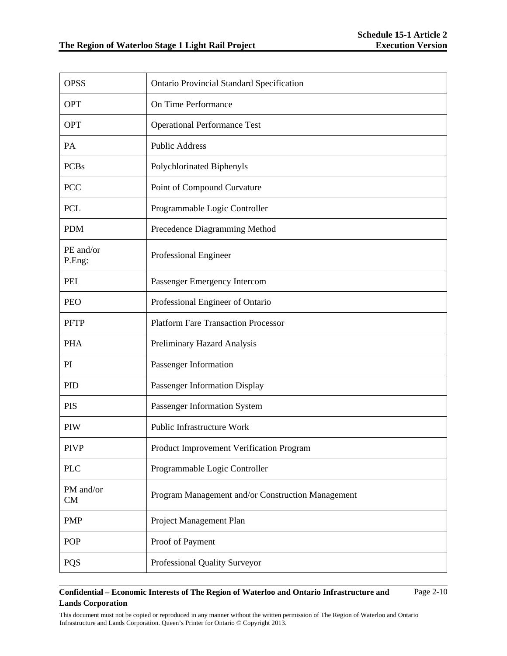| <b>OPSS</b>         | <b>Ontario Provincial Standard Specification</b>  |
|---------------------|---------------------------------------------------|
| <b>OPT</b>          | On Time Performance                               |
| <b>OPT</b>          | <b>Operational Performance Test</b>               |
| PA                  | <b>Public Address</b>                             |
| <b>PCBs</b>         | Polychlorinated Biphenyls                         |
| <b>PCC</b>          | Point of Compound Curvature                       |
| <b>PCL</b>          | Programmable Logic Controller                     |
| <b>PDM</b>          | Precedence Diagramming Method                     |
| PE and/or<br>P.Eng: | Professional Engineer                             |
| PEI                 | Passenger Emergency Intercom                      |
| <b>PEO</b>          | Professional Engineer of Ontario                  |
| <b>PFTP</b>         | <b>Platform Fare Transaction Processor</b>        |
| <b>PHA</b>          | Preliminary Hazard Analysis                       |
| PI                  | Passenger Information                             |
| PID                 | Passenger Information Display                     |
| <b>PIS</b>          | Passenger Information System                      |
| <b>PIW</b>          | Public Infrastructure Work                        |
| <b>PIVP</b>         | Product Improvement Verification Program          |
| <b>PLC</b>          | Programmable Logic Controller                     |
| PM and/or<br>CM     | Program Management and/or Construction Management |
| <b>PMP</b>          | Project Management Plan                           |
| <b>POP</b>          | Proof of Payment                                  |
| <b>PQS</b>          | Professional Quality Surveyor                     |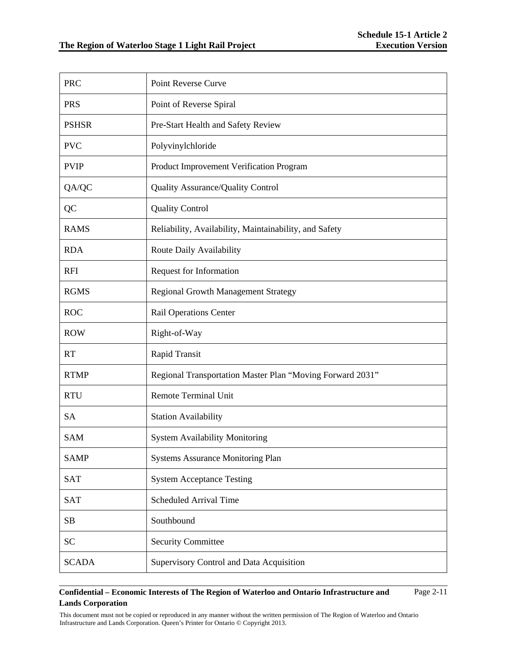| <b>PRC</b>   | Point Reverse Curve                                       |
|--------------|-----------------------------------------------------------|
| <b>PRS</b>   | Point of Reverse Spiral                                   |
| <b>PSHSR</b> | Pre-Start Health and Safety Review                        |
| <b>PVC</b>   | Polyvinylchloride                                         |
| <b>PVIP</b>  | Product Improvement Verification Program                  |
| QA/QC        | Quality Assurance/Quality Control                         |
| QC           | <b>Quality Control</b>                                    |
| <b>RAMS</b>  | Reliability, Availability, Maintainability, and Safety    |
| <b>RDA</b>   | Route Daily Availability                                  |
| <b>RFI</b>   | Request for Information                                   |
| <b>RGMS</b>  | Regional Growth Management Strategy                       |
| <b>ROC</b>   | <b>Rail Operations Center</b>                             |
| <b>ROW</b>   | Right-of-Way                                              |
| <b>RT</b>    | Rapid Transit                                             |
| <b>RTMP</b>  | Regional Transportation Master Plan "Moving Forward 2031" |
| <b>RTU</b>   | <b>Remote Terminal Unit</b>                               |
| <b>SA</b>    | <b>Station Availability</b>                               |
| <b>SAM</b>   | <b>System Availability Monitoring</b>                     |
| <b>SAMP</b>  | <b>Systems Assurance Monitoring Plan</b>                  |
| <b>SAT</b>   | <b>System Acceptance Testing</b>                          |
| <b>SAT</b>   | <b>Scheduled Arrival Time</b>                             |
| SB           | Southbound                                                |
| <b>SC</b>    | <b>Security Committee</b>                                 |
| <b>SCADA</b> | Supervisory Control and Data Acquisition                  |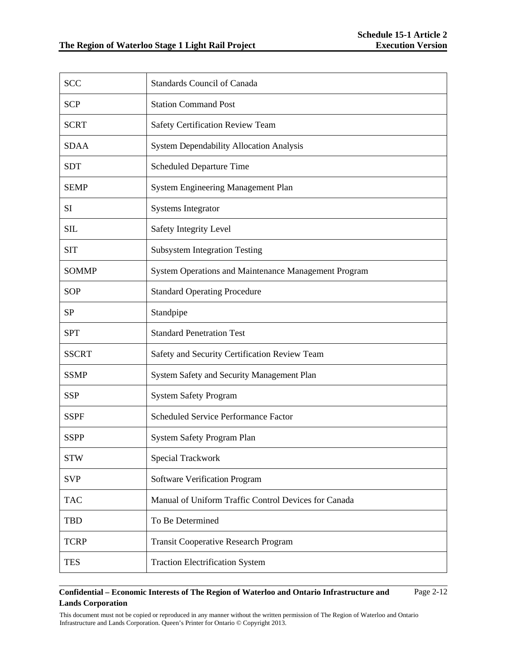| <b>SCC</b>   | <b>Standards Council of Canada</b>                   |
|--------------|------------------------------------------------------|
| <b>SCP</b>   | <b>Station Command Post</b>                          |
| <b>SCRT</b>  | Safety Certification Review Team                     |
| <b>SDAA</b>  | <b>System Dependability Allocation Analysis</b>      |
| <b>SDT</b>   | <b>Scheduled Departure Time</b>                      |
| <b>SEMP</b>  | System Engineering Management Plan                   |
| <b>SI</b>    | <b>Systems Integrator</b>                            |
| <b>SIL</b>   | Safety Integrity Level                               |
| <b>SIT</b>   | <b>Subsystem Integration Testing</b>                 |
| <b>SOMMP</b> | System Operations and Maintenance Management Program |
| <b>SOP</b>   | <b>Standard Operating Procedure</b>                  |
| <b>SP</b>    | Standpipe                                            |
| <b>SPT</b>   | <b>Standard Penetration Test</b>                     |
| <b>SSCRT</b> | Safety and Security Certification Review Team        |
| <b>SSMP</b>  | System Safety and Security Management Plan           |
| <b>SSP</b>   | <b>System Safety Program</b>                         |
| <b>SSPF</b>  | <b>Scheduled Service Performance Factor</b>          |
| <b>SSPP</b>  | System Safety Program Plan                           |
| <b>STW</b>   | <b>Special Trackwork</b>                             |
| <b>SVP</b>   | <b>Software Verification Program</b>                 |
| <b>TAC</b>   | Manual of Uniform Traffic Control Devices for Canada |
| <b>TBD</b>   | To Be Determined                                     |
| <b>TCRP</b>  | Transit Cooperative Research Program                 |
| <b>TES</b>   | <b>Traction Electrification System</b>               |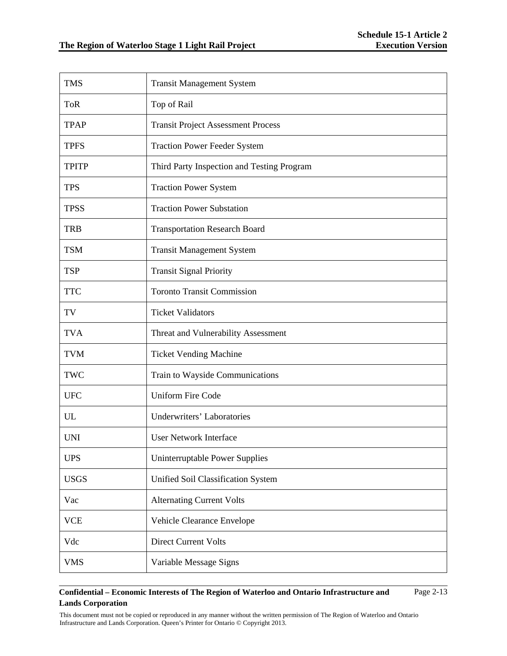| <b>TMS</b>   | <b>Transit Management System</b>           |
|--------------|--------------------------------------------|
| <b>ToR</b>   | Top of Rail                                |
| <b>TPAP</b>  | <b>Transit Project Assessment Process</b>  |
| <b>TPFS</b>  | <b>Traction Power Feeder System</b>        |
| <b>TPITP</b> | Third Party Inspection and Testing Program |
| <b>TPS</b>   | <b>Traction Power System</b>               |
| <b>TPSS</b>  | <b>Traction Power Substation</b>           |
| <b>TRB</b>   | <b>Transportation Research Board</b>       |
| <b>TSM</b>   | <b>Transit Management System</b>           |
| <b>TSP</b>   | <b>Transit Signal Priority</b>             |
| <b>TTC</b>   | <b>Toronto Transit Commission</b>          |
| TV           | <b>Ticket Validators</b>                   |
| <b>TVA</b>   | Threat and Vulnerability Assessment        |
| <b>TVM</b>   | <b>Ticket Vending Machine</b>              |
| <b>TWC</b>   | Train to Wayside Communications            |
| <b>UFC</b>   | <b>Uniform Fire Code</b>                   |
| UL           | <b>Underwriters' Laboratories</b>          |
| <b>UNI</b>   | <b>User Network Interface</b>              |
| <b>UPS</b>   | Uninterruptable Power Supplies             |
| <b>USGS</b>  | Unified Soil Classification System         |
| Vac          | <b>Alternating Current Volts</b>           |
| <b>VCE</b>   | Vehicle Clearance Envelope                 |
| Vdc          | <b>Direct Current Volts</b>                |
| <b>VMS</b>   | Variable Message Signs                     |